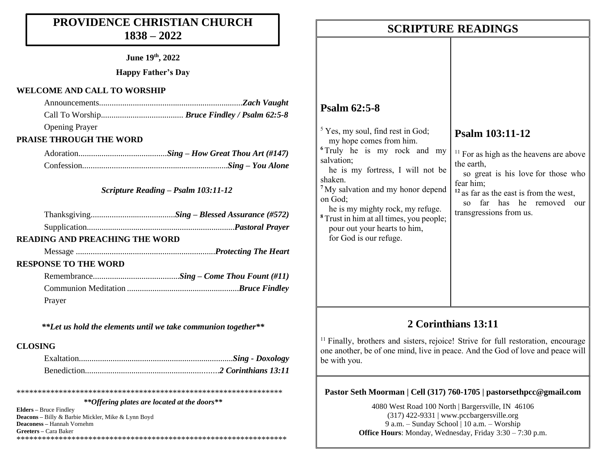# **PROVIDENCE CHRISTIAN CHURCH 1838 – 2022**

**June 19 th, 2022**

**Happy Father's Day**

#### **WELCOME AND CALL TO WORSHIP**

| <b>Opening Prayer</b>                                |  |
|------------------------------------------------------|--|
| $\pi$ miin $\Delta$ i $\alpha$ ii miin w $\alpha$ nn |  |

### **PRAISE THROUGH THE WORD**

#### *Scripture Reading – Psalm 103:11-12*

| <b>READING AND PREACHING THE WORD</b> |  |
|---------------------------------------|--|
|                                       |  |
| <b>RESPONSE TO THE WORD</b>           |  |

| Prayer |  |
|--------|--|

*\*\*Let us hold the elements until we take communion together\*\**

#### **CLOSING**

\*\*\*\*\*\*\*\*\*\*\*\*\*\*\*\*\*\*\*\*\*\*\*\*\*\*\*\*\*\*\*\*\*\*\*\*\*\*\*\*\*\*\*\*\*\*\*\*\*\*\*\*\*\*\*\*\*\*\*\*\*\*\*

#### *\*\*Offering plates are located at the doors\*\**

**Elders –** Bruce Findley **Deacons –** Billy & Barbie Mickler, Mike & Lynn Boyd **Deaconess –** Hannah Vornehm **Greeters –** Cara Baker \*\*\*\*\*\*\*\*\*\*\*\*\*\*\*\*\*\*\*\*\*\*\*\*\*\*\*\*\*\*\*\*\*\*\*\*\*\*\*\*\*\*\*\*\*\*\*\*\*\*\*\*\*\*\*\*\*\*\*\*\*\*\*\*

|                                                                                                                                                                                                                                                                                                                                                            | <b>SCRIPTURE READINGS</b>                                                                                                                                                                                                                                                                |
|------------------------------------------------------------------------------------------------------------------------------------------------------------------------------------------------------------------------------------------------------------------------------------------------------------------------------------------------------------|------------------------------------------------------------------------------------------------------------------------------------------------------------------------------------------------------------------------------------------------------------------------------------------|
| <b>Psalm 62:5-8</b>                                                                                                                                                                                                                                                                                                                                        |                                                                                                                                                                                                                                                                                          |
| <sup>5</sup> Yes, my soul, find rest in God;<br>my hope comes from him.<br>salvation;<br>he is my fortress, I will not be<br>shaken.<br>$7$ My salvation and my honor depend $\parallel$<br>on God;<br>he is my mighty rock, my refuge.<br><sup>8</sup> Trust in him at all times, you people;  <br>pour out your hearts to him,<br>for God is our refuge. | Psalm 103:11-12<br><sup>6</sup> Truly he is my rock and my $\ $ <sup>11</sup> For as high as the heavens are above<br>the earth,<br>so great is his love for those who<br>fear him;<br>$12$ as far as the east is from the west,<br>so far has he removed our<br>transgressions from us. |

## **2 Corinthians 13:11**

<sup>11</sup> Finally, brothers and sisters, rejoice! Strive for full restoration, encourage one another, be of one mind, live in peace. And the God of love and peace will be with you.

#### **Pastor Seth Moorman | Cell (317) 760-1705 | pastorsethpcc@gmail.com**

4080 West Road 100 North | Bargersville, IN 46106 (317) 422-9331 | www.pccbargersville.org 9 a.m. – Sunday School | 10 a.m. – Worship **Office Hours**: Monday, Wednesday, Friday 3:30 – 7:30 p.m.